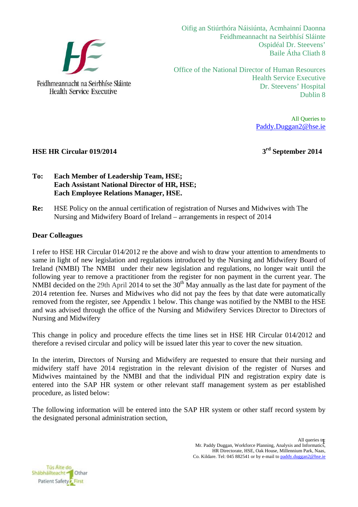

Oifig an Stiúrthóra Náisiúnta, Acmhainní Daonna Feidhmeannacht na Seirbhísí Sláinte Ospidéal Dr. Steevens' Baile Átha Cliath 8

Office of the National Director of Human Resources Health Service Executive Dr. Steevens' Hospital Dublin 8

> All Queries to Paddy.Duggan2@hse.ie

**HSE HR Circular 019/2014** 3<sup>rd</sup> September 2014

# **To: Each Member of Leadership Team, HSE; Each Assistant National Director of HR, HSE; Each Employee Relations Manager, HSE.**

**Re:** HSE Policy on the annual certification of registration of Nurses and Midwives with The Nursing and Midwifery Board of Ireland – arrangements in respect of 2014

### **Dear Colleagues**

I refer to HSE HR Circular 014/2012 re the above and wish to draw your attention to amendments to same in light of new legislation and regulations introduced by the Nursing and Midwifery Board of Ireland (NMBI) The NMBI under their new legislation and regulations, no longer wait until the following year to remove a practitioner from the register for non payment in the current year. The NMBI decided on the 29th April 2014 to set the  $30<sup>th</sup>$  May annually as the last date for payment of the 2014 retention fee. Nurses and Midwives who did not pay the fees by that date were automatically removed from the register, see Appendix 1 below. This change was notified by the NMBI to the HSE and was advised through the office of the Nursing and Midwifery Services Director to Directors of Nursing and Midwifery

This change in policy and procedure effects the time lines set in HSE HR Circular 014/2012 and therefore a revised circular and policy will be issued later this year to cover the new situation.

In the interim, Directors of Nursing and Midwifery are requested to ensure that their nursing and midwifery staff have 2014 registration in the relevant division of the register of Nurses and Midwives maintained by the NMBI and that the individual PIN and registration expiry date is entered into the SAP HR system or other relevant staff management system as per established procedure, as listed below:

The following information will be entered into the SAP HR system or other staff record system by the designated personal administration section,

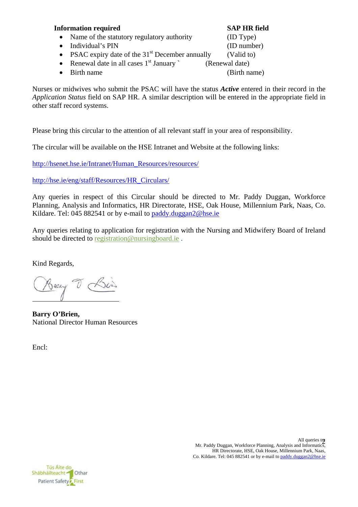### **Information required SAP HR field**

- Name of the statutory regulatory authority (ID Type)
- Individual's PIN (ID number)
- PSAC expiry date of the  $31<sup>st</sup>$  December annually (Valid to)
- Renewal date in all cases  $1<sup>st</sup>$  January ` (Renewal date)

Birth name (Birth name)

Nurses or midwives who submit the PSAC will have the status *Active* entered in their record in the *Application Status* field on SAP HR. A similar description will be entered in the appropriate field in other staff record systems.

Please bring this circular to the attention of all relevant staff in your area of responsibility.

The circular will be available on the HSE Intranet and Website at the following links:

http://hsenet.hse.ie/Intranet/Human\_Resources/resources/

http://hse.ie/eng/staff/Resources/HR\_Circulars/

Any queries in respect of this Circular should be directed to Mr. Paddy Duggan, Workforce Planning, Analysis and Informatics, HR Directorate, HSE, Oak House, Millennium Park, Naas, Co. Kildare. Tel: 045 882541 or by e-mail to paddy.duggan2@hse.ie

Any queries relating to application for registration with the Nursing and Midwifery Board of Ireland should be directed to registration@nursingboard.ie.

Kind Regards,

Backy V

**Barry O'Brien,** National Director Human Resources

Encl: